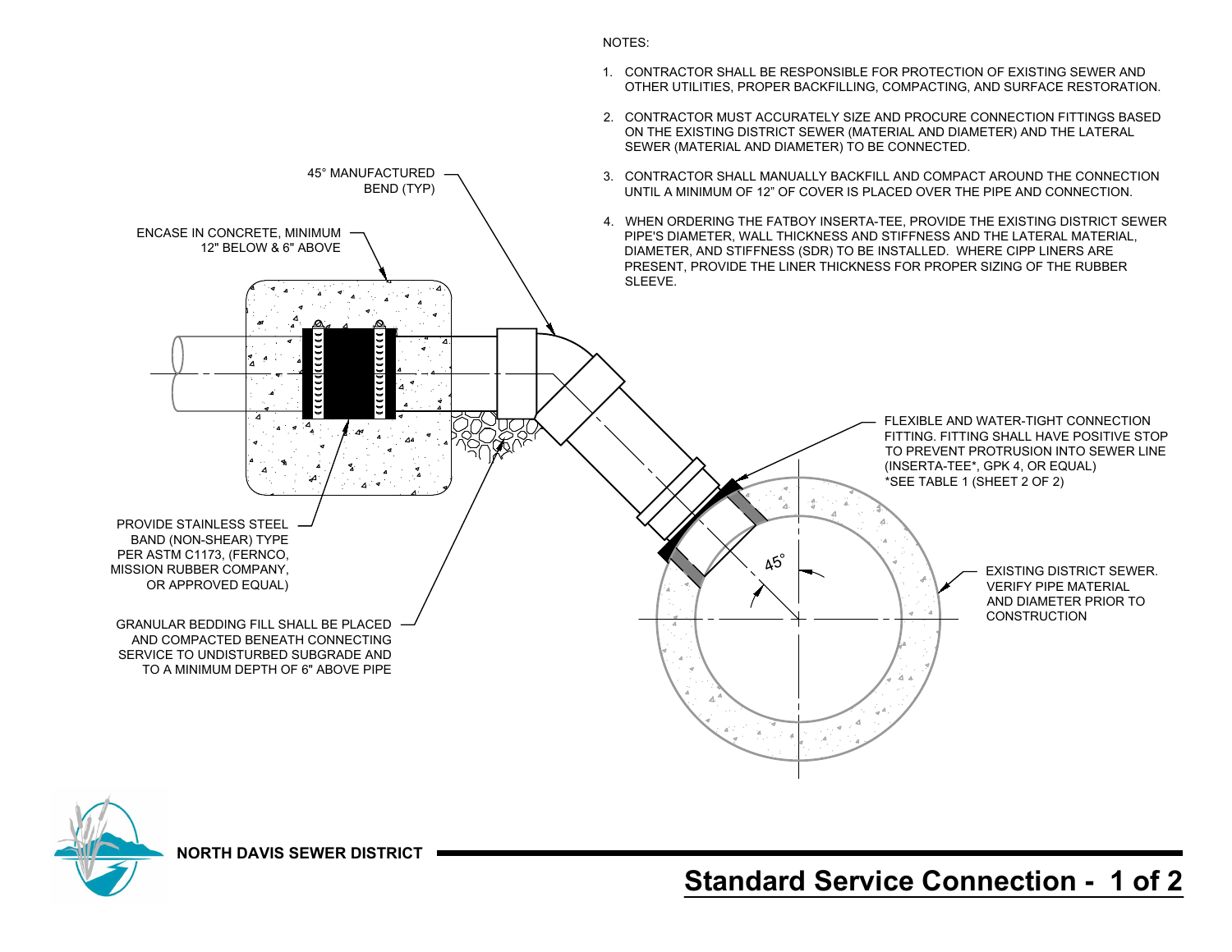